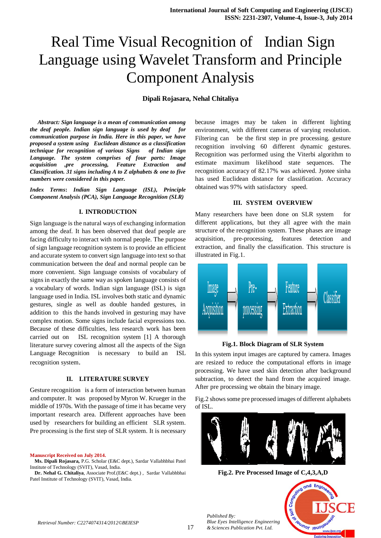# Real Time Visual Recognition of Indian Sign Language using Wavelet Transform and Principle Component Analysis

## **Dipali Rojasara, Nehal Chitaliya**

 *Abstract: Sign language is a mean of communication among the deaf people. Indian sign language is used by deaf for communication purpose in India. Here in this paper, we have proposed a system using Euclidean distance as a classification technique for recognition of various Signs of Indian sign Language. The system comprises of four parts: Image acquisition ,pre processing, Feature Extraction and Classification. 31 signs including A to Z alphabets & one to five numbers were considered in this paper.* 

*Index Terms***:** *Indian Sign Language (ISL), Principle Component Analysis (PCA), Sign Language Recognition (SLR)*

#### **I. INTRODUCTION**

Sign language is the natural ways of exchanging information among the deaf. It has been observed that deaf people are facing difficulty to interact with normal people. The purpose of sign language recognition system is to provide an efficient and accurate system to convert sign language into text so that communication between the deaf and normal people can be more convenient. Sign language consists of vocabulary of signs in exactly the same way as spoken language consists of a vocabulary of words. Indian sign language (ISL) is sign language used in India. ISL involves both static and dynamic gestures, single as well as double handed gestures, in addition to this the hands involved in gesturing may have complex motion. Some signs include facial expressions too. Because of these difficulties, less research work has been carried out on ISL recognition system [1] A thorough literature survey covering almost all the aspects of the Sign Language Recognition is necessary to build an ISL recognition system.

## **II. LITERATURE SURVEY**

Gesture recognition is a form of interaction between human and computer. It was proposed by Myron W. Krueger in the middle of 1970s. With the passage of time it has became very important research area. Different approaches have been used by researchers for building an efficient SLR system. Pre processing is the first step of SLR system. It is necessary

**Manuscript Received on July 2014.**

**Dr. Nehal G. Chitaliya**, Associate Prof.(E&C dept.) , Sardar Vallabhbhai Patel Institute of Technology (SVIT), Vasad, India.

because images may be taken in different lighting environment, with different cameras of varying resolution. Filtering can be the first step in pre processing. gesture recognition involving 60 different dynamic gestures. Recognition was performed using the Viterbi algorithm to estimate maximum likelihood state sequences. The recognition accuracy of 82.17% was achieved. Jyotee sinha has used Euclidean distance for classification. Accuracy obtained was 97% with satisfactory speed.

## **III. SYSTEM OVERVIEW**

Many researchers have been done on SLR system for different applications, but they all agree with the main structure of the recognition system. These phases are image acquisition, pre-processing, features detection and extraction, and finally the classification. This structure is illustrated in Fig.1.



#### **Fig.1. Block Diagram of SLR System**

In this system input images are captured by camera. Images are resized to reduce the computational efforts in image processing. We have used skin detection after background subtraction, to detect the hand from the acquired image. After pre processing we obtain the binary image.

Fig.2 shows some pre processed images of different alphabets of ISL.



**Fig.2. Pre Processed Image of C,4,3,A,D**



 $and Enc$ 

*Published By: Blue Eyes Intelligence Engineering & Sciences Publication Pvt. Ltd.*

**Ms. Dipali Rojasara,** P.G. Scholar (E&C dept.), Sardar Vallabhbhai Patel Institute of Technology (SVIT), Vasad, India.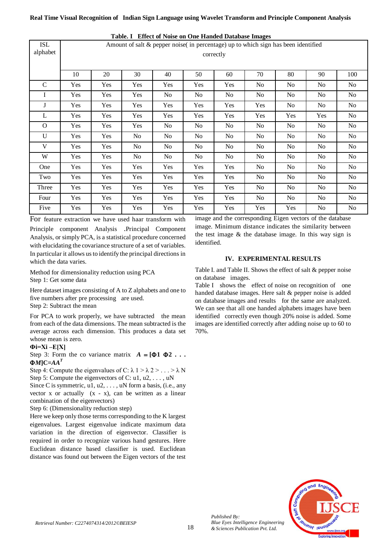**Real Time Visual Recognition of Indian Sign Language using Wavelet Transform and Principle Component Analysis**

| <b>ISL</b><br>alphabet | Amount of salt & pepper noise( in percentage) up to which sign has been identified<br>correctly |     |                |     |                |                |     |                |                |                |
|------------------------|-------------------------------------------------------------------------------------------------|-----|----------------|-----|----------------|----------------|-----|----------------|----------------|----------------|
|                        | 10                                                                                              | 20  | 30             | 40  | 50             | 60             | 70  | 80             | 90             | 100            |
| $\mathbf C$            | Yes                                                                                             | Yes | Yes            | Yes | Yes            | Yes            | No  | No             | No             | No             |
| I                      | Yes                                                                                             | Yes | Yes            | No. | N <sub>0</sub> | N <sub>0</sub> | No  | N <sub>0</sub> | N <sub>0</sub> | N <sub>0</sub> |
| J                      | Yes                                                                                             | Yes | Yes            | Yes | Yes            | Yes            | Yes | N <sub>o</sub> | No             | N <sub>o</sub> |
| L                      | Yes                                                                                             | Yes | Yes            | Yes | Yes            | Yes            | Yes | Yes            | Yes            | No             |
| $\mathbf{O}$           | Yes                                                                                             | Yes | Yes            | No. | N <sub>0</sub> | N <sub>0</sub> | No  | N <sub>o</sub> | No             | No             |
| U                      | Yes                                                                                             | Yes | No             | No  | No             | No             | No  | No             | N <sub>0</sub> | No             |
| V                      | Yes                                                                                             | Yes | N <sub>o</sub> | No. | N <sub>0</sub> | N <sub>0</sub> | No  | No             | No             | No             |
| W                      | Yes                                                                                             | Yes | N <sub>o</sub> | No. | N <sub>0</sub> | N <sub>0</sub> | No  | N <sub>o</sub> | No             | No             |
| One                    | Yes                                                                                             | Yes | Yes            | Yes | Yes            | Yes            | No  | No             | N <sub>0</sub> | No             |
| Two                    | Yes                                                                                             | Yes | Yes            | Yes | Yes            | Yes            | No  | N <sub>o</sub> | No             | No             |
| Three                  | Yes                                                                                             | Yes | Yes            | Yes | Yes            | Yes            | No  | No             | N <sub>0</sub> | No             |
| Four                   | Yes                                                                                             | Yes | Yes            | Yes | Yes            | Yes            | No  | No             | N <sub>0</sub> | No             |
| Five                   | Yes                                                                                             | Yes | Yes            | Yes | Yes            | Yes            | Yes | Yes            | No             | N <sub>0</sub> |

**Table. I Effect of Noise on One Handed Database Images**

For feature extraction we have used haar transform with

Principle component Analysis .Principal Component Analysis, or simply PCA, is a statistical procedure concerned with elucidating the covariance structure of a set of variables. In particular it allows us to identify the principal directions in which the data varies.

Method for dimensionality reduction using PCA Step 1: Get some data

Here dataset images consisting of A to Z alphabets and one to five numbers after pre processing are used. Step 2: Subtract the mean

For PCA to work properly, we have subtracted the mean from each of the data dimensions. The mean subtracted is the average across each dimension. This produces a data set whose mean is zero.

## **Фi=Xi ‒E[X]**

Step 3: Form the co variance matrix  $A = [\Phi 1 \Phi 2 \dots]$  $\Phi$ *M*<sup> $C=AA$ <sup>*T*</sup></sup>

Step 4: Compute the eigenvalues of C:  $\lambda$  1 >  $\lambda$  2 > . . . >  $\lambda$  N Step 5: Compute the eigenvectors of C: u1, u2, ..., uN

Since C is symmetric,  $u_1, u_2, \ldots, u_N$  form a basis, (i.e., any vector  $x$  or actually  $(x - x)$ , can be written as a linear combination of the eigenvectors)

Step 6: (Dimensionality reduction step)

Here we keep only those terms corresponding to the K largest eigenvalues. Largest eigenvalue indicate maximum data variation in the direction of eigenvector. Classifier is required in order to recognize various hand gestures. Here Euclidean distance based classifier is used. Euclidean distance was found out between the Eigen vectors of the test image and the corresponding Eigen vectors of the database image. Minimum distance indicates the similarity between the test image & the database image. In this way sign is identified.

# **IV. EXPERIMENTAL RESULTS**

Table I. and Table II. Shows the effect of salt & pepper noise on database images.

Table I shows the effect of noise on recognition of one handed database images. Here salt & pepper noise is added on database images and results for the same are analyzed. We can see that all one handed alphabets images have been identified correctly even though 20% noise is added. Some images are identified correctly after adding noise up to 60 to 70%.



*Published By:*

*Blue Eyes Intelligence Engineering & Sciences Publication Pvt. Ltd.*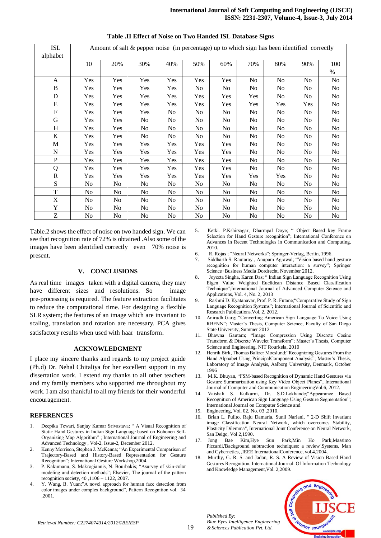| ISL<br>alphabet | Amount of salt & pepper noise (in percentage) up to which sign has been identified correctly |                |                |                |                |                |                |                |                |      |
|-----------------|----------------------------------------------------------------------------------------------|----------------|----------------|----------------|----------------|----------------|----------------|----------------|----------------|------|
|                 | 10                                                                                           | 20%            | 30%            | 40%            | 50%            | 60%            | 70%            | 80%            | 90%            | 100  |
|                 |                                                                                              |                |                |                |                |                |                |                |                | $\%$ |
| A               | Yes                                                                                          | Yes            | Yes            | Yes            | Yes            | Yes            | N <sub>0</sub> | N <sub>o</sub> | No             | No   |
| B               | Yes                                                                                          | Yes            | Yes            | Yes            | No             | No             | No             | No             | No             | No   |
| D               | Yes                                                                                          | Yes            | Yes            | Yes            | Yes            | Yes            | Yes            | No             | N <sub>o</sub> | No   |
| E               | Yes                                                                                          | Yes            | Yes            | Yes            | Yes            | Yes            | Yes            | Yes            | Yes            | No   |
| F               | Yes                                                                                          | Yes            | Yes            | No.            | No             | No             | No.            | No             | No             | No   |
| G               | Yes                                                                                          | Yes            | No             | No             | No.            | No             | No             | No             | No             | No   |
| H               | Yes                                                                                          | Yes            | N <sub>o</sub> | N <sub>o</sub> | N <sub>0</sub> | N <sub>o</sub> | No             | N <sub>o</sub> | N <sub>o</sub> | No   |
| $\bf K$         | Yes                                                                                          | Yes            | No             | No             | No             | No             | No             | No             | No             | No   |
| M               | Yes                                                                                          | Yes            | Yes            | Yes            | Yes            | Yes            | No             | No             | No             | No   |
| N               | Yes                                                                                          | Yes            | Yes            | Yes            | Yes            | Yes            | No             | N <sub>o</sub> | No             | No   |
| $\mathbf{P}$    | Yes                                                                                          | Yes            | Yes            | Yes            | Yes            | Yes            | N <sub>0</sub> | No             | No             | No   |
| Q               | Yes                                                                                          | Yes            | Yes            | Yes            | Yes            | Yes            | N <sub>0</sub> | N <sub>0</sub> | N <sub>0</sub> | No   |
| R               | Yes                                                                                          | Yes            | Yes            | Yes            | Yes            | Yes            | Yes            | Yes            | N <sub>o</sub> | No   |
| S               | No                                                                                           | No             | No             | N <sub>o</sub> | No             | No             | No             | No             | No             | No   |
| T               | No                                                                                           | No             | No             | No             | No             | No             | N <sub>0</sub> | N <sub>o</sub> | No             | No   |
| X               | N <sub>o</sub>                                                                               | N <sub>0</sub> | No             | No.            | No             | No             | N <sub>0</sub> | No             | No             | No   |
| Y               | No                                                                                           | No             | No             | No             | No             | No             | No             | No             | No             | No   |
| Ζ               | No.                                                                                          | No.            | No             | No             | No.            | No             | No             | N <sub>0</sub> | N <sub>0</sub> | No   |

## **Table .II Effect of Noise on Two Handed ISL Database Signs**

Table.2 shows the effect of noise on two handed sign. We can see that recognition rate of 72% is obtained .Also some of the images have been identified correctly even 70% noise is present.

## **V. CONCLUSIONS**

As real time images taken with a digital camera, they may have different sizes and resolutions. So image pre-processing is required. The feature extraction facilitates to reduce the computational time. For designing a flexible SLR system; the features of an image which are invariant to scaling, translation and rotation are necessary. PCA gives satisfactory results when used with haar transform.

#### **ACKNOWLEDGMENT**

I place my sincere thanks and regards to my project guide (Ph.d) Dr. Nehal Chitaliya for her excellent support in my dissertation work. I extend my thanks to all other teachers and my family members who supported me throughout my work. I am also thankful to all my friends for their wonderful encouragement.

#### **REFERENCES**

- 1. Deepika Tewari, Sanjay Kumar Srivastava; " A Visual Recognition of Static Hand Gestures in Indian Sign Language based on Kohonen Self-Organizing Map Algorithm" ; International Journal of Engineering and Advanced Technology , Vol-2, Issue-2, December 2012.
- 2. Kenny Morrison, Stephen J. McKenna; "An Experimental Comparison of Trajectory-Based and History-Based Representation for Gesture Recognition"; International Gesture Workshop,2004.
- 3. P. Kakumanu, S. Makrogiannis, N. Bourbakis; "Asurvey of skin-color modeling and detection methods"; Elsevier, The journal of the pattern recognition society, 40 ,1106 – 1122, 2007.
- Y. Wang, B. Yuan;"A novel approach for human face detection from color images under complex background", Pattern Recognition vol. 34 ,2001.
- 5. Ketki. P.Kshirsagar, Dharmpal Doye; " Object Based key Frame Selection for Hand Gesture recognition"; International Conference on Advances in Recent Technologies in Communication and Computing, 2010.
- 6. R. Rojas ; "Neural Networks"; Springer-Verlag, Berlin, 1996.
- 7. Siddharth S. Rautaray , Anupam Agrawal; "Vision based hand gesture recognition for human computer interaction: a survey"; Springer Science+Business Media Dordrecht, November 2012.
- 8. Joyeeta Singha, Karen Das; " Indian Sign Language Recognition Using Eigen Value Weighted Euclidean Distance Based Classification Technique";International Journal of Advanced Computer Science and Applications, Vol. 4, No. 2, 2013
- 9. Rashmi D. Kyatanavar, Prof. P. R. Futane;"Comparative Study of Sign Language Recognition Systems"; International Journal of Scientific and Research Publications,Vol. 2, 2012.
- 10. Anirudh Garg; "Converting American Sign Language To Voice Using RBFNN"; Master's Thesis, Computer Science, Faculty of San Diego State University, Summer 2012
- 11. Bhawna Gautam; "Image Compression Using Discrete Cosine Transform & Discrete Wavelet Transform"; Master's Thesis, Computer Science and Engineering, NIT Rourkela, 2010
- 12. Henrik Birk, Thomas Baltzer Moeslund;"Recognizing Gestures From the Hand Alphabet Using PrincipalComponent Analysis"; Master's Thesis, Laboratory of Image Analysis, Aalborg University, Denmark, October 1996
- 13. M.K. Bhuyan, "FSM-based Recognition of Dynamic Hand Gestures via Gesture Summarization using Key Video Object Planes", International Journal of Computer and Communication EngineeringVol.6, 2012.
- 14. Vaishali S. Kulkarni, Dr. S.D.Lokhande;"Appearance Based Recognition of American Sign Language Using Gesture Segmentation"; International Journal on Computer Science and
- 15. Engineering, Vol. 02, No. 03 ,2010.
- 16. Brian L. Pulito, Raju Damarla, Sunil Nariani, " 2-D Shift Invariant image Classification Neural Network, which overcomes Stability, Plasticity Dilemma", International Joint Conference on Neural Network, San Deigo, Vol 2,1990.
- 17. Jong Bae Kim,Hye Sun Park,Min Ho Park,Massimo Piccardi,'Background subtraction techniques: a review',Systems, Man and Cybernetics, ,IEEE InternationalConference, vol.4,2004.
- 18. Murthy, G. R. S. and Jadon, R. S. A Review of Vision Based Hand Gestures Recognition. International Journal. Of Information Technology and Knowledge Management,Vol. 2,2009.



*Published By: Blue Eyes Intelligence Engineering & Sciences Publication Pvt. Ltd.*